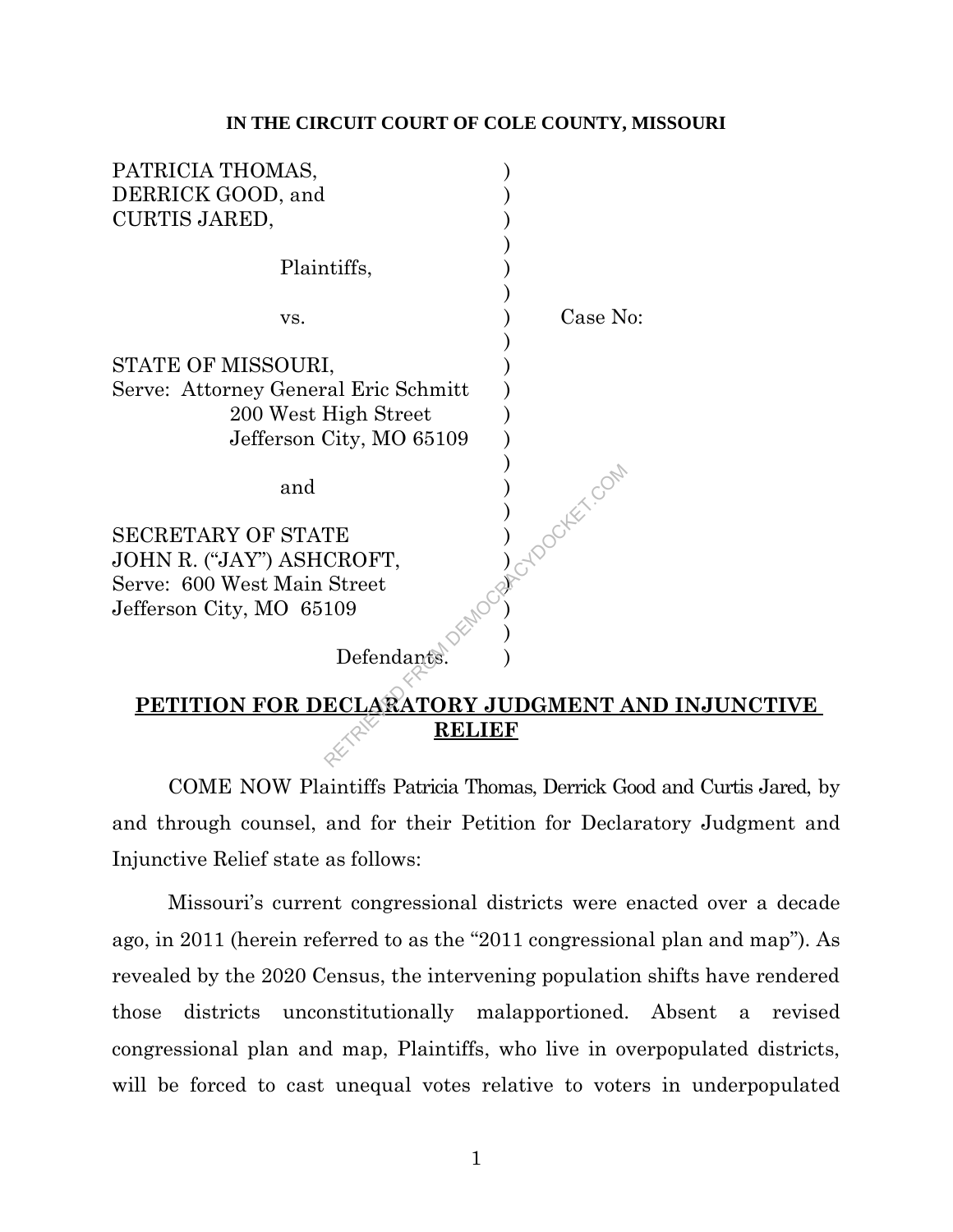#### **IN THE CIRCUIT COURT OF COLE COUNTY, MISSOURI**

| PATRICIA THOMAS,                     |               |  |  |
|--------------------------------------|---------------|--|--|
| DERRICK GOOD, and                    |               |  |  |
| <b>CURTIS JARED,</b>                 |               |  |  |
|                                      |               |  |  |
| Plaintiffs,                          |               |  |  |
|                                      |               |  |  |
| VS.                                  | Case No:      |  |  |
|                                      |               |  |  |
| STATE OF MISSOURI,                   |               |  |  |
| Serve: Attorney General Eric Schmitt |               |  |  |
| 200 West High Street                 |               |  |  |
| Jefferson City, MO 65109             |               |  |  |
|                                      | Acybooker.com |  |  |
| and                                  |               |  |  |
|                                      |               |  |  |
| <b>SECRETARY OF STATE</b>            |               |  |  |
| JOHN R. ("JAY") ASHCROFT,            |               |  |  |
| Serve: 600 West Main Street          |               |  |  |
| Jefferson City, MO 65109             |               |  |  |
|                                      |               |  |  |
| Defendants                           |               |  |  |
|                                      |               |  |  |
| PETITION FOR DECLARATORY JUDGMENT AN |               |  |  |
| RELIEF                               |               |  |  |
|                                      |               |  |  |

# **PETITION FOR DECLARATORY JUDGMENT AND INJUNCTIVE RELIEF**

COME NOW Plaintiffs Patricia Thomas, Derrick Good and Curtis Jared, by and through counsel, and for their Petition for Declaratory Judgment and Injunctive Relief state as follows:

Missouri's current congressional districts were enacted over a decade ago, in 2011 (herein referred to as the "2011 congressional plan and map"). As revealed by the 2020 Census, the intervening population shifts have rendered those districts unconstitutionally malapportioned. Absent a revised congressional plan and map, Plaintiffs, who live in overpopulated districts, will be forced to cast unequal votes relative to voters in underpopulated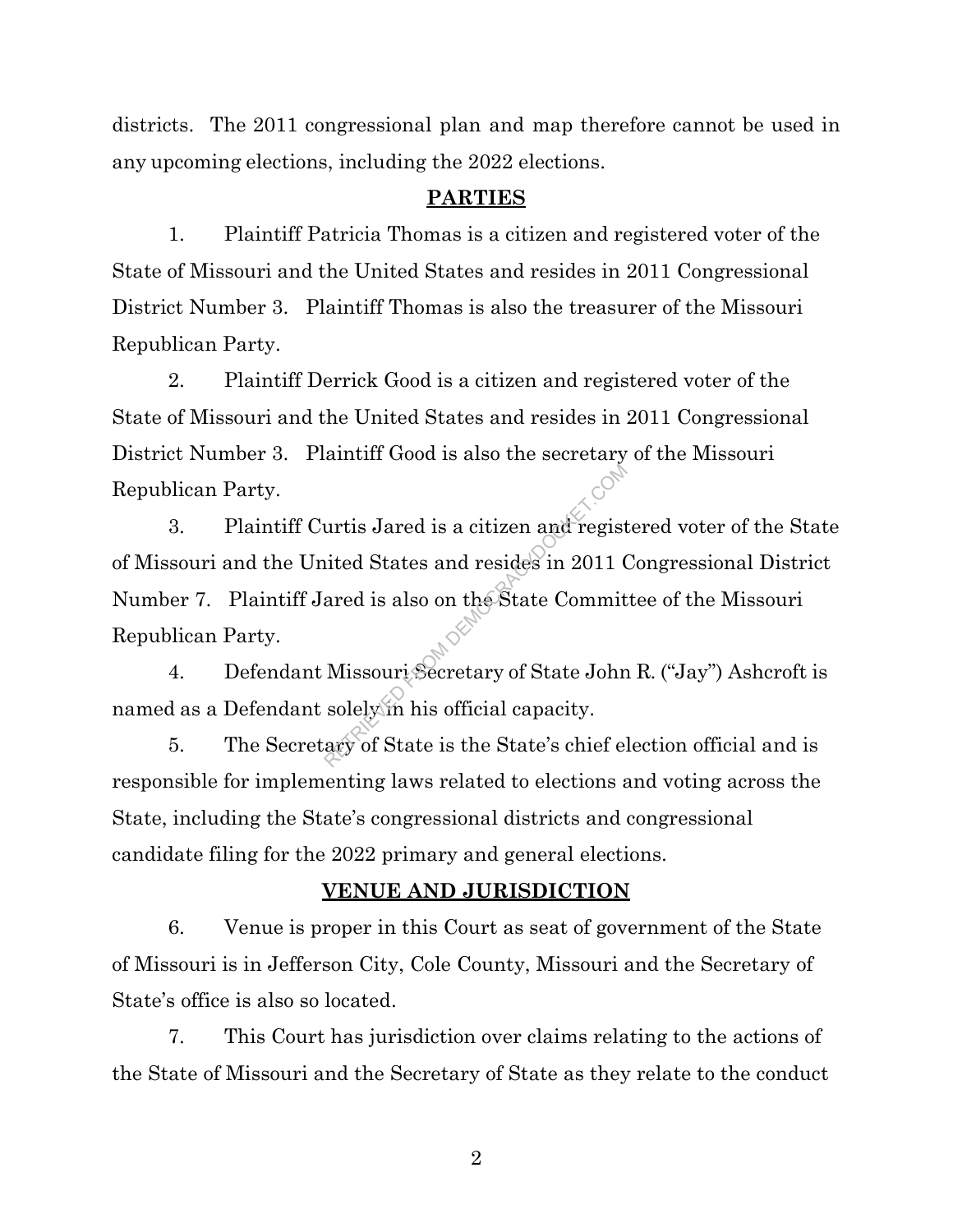districts. The 2011 congressional plan and map therefore cannot be used in any upcoming elections, including the 2022 elections.

### **PARTIES**

1. Plaintiff Patricia Thomas is a citizen and registered voter of the State of Missouri and the United States and resides in 2011 Congressional District Number 3. Plaintiff Thomas is also the treasurer of the Missouri Republican Party.

2. Plaintiff Derrick Good is a citizen and registered voter of the State of Missouri and the United States and resides in 2011 Congressional District Number 3. Plaintiff Good is also the secretary of the Missouri Republican Party.

3. Plaintiff Curtis Jared is a citizen and registered voter of the State of Missouri and the United States and resides in 2011 Congressional District Number 7. Plaintiff Jared is also on the State Committee of the Missouri Republican Party. urtis Jared is a citizen and regist<br>ited States and resides in 2011 (<br>ared is also on the State Commit<br>Missouri Secretary of State John<br>solely in his official capacity.<br>ary of State is the State's chief el

4. Defendant Missouri Secretary of State John R. ("Jay") Ashcroft is named as a Defendant solely in his official capacity.

5. The Secretary of State is the State's chief election official and is responsible for implementing laws related to elections and voting across the State, including the State's congressional districts and congressional candidate filing for the 2022 primary and general elections.

#### **VENUE AND JURISDICTION**

6. Venue is proper in this Court as seat of government of the State of Missouri is in Jefferson City, Cole County, Missouri and the Secretary of State's office is also so located.

7. This Court has jurisdiction over claims relating to the actions of the State of Missouri and the Secretary of State as they relate to the conduct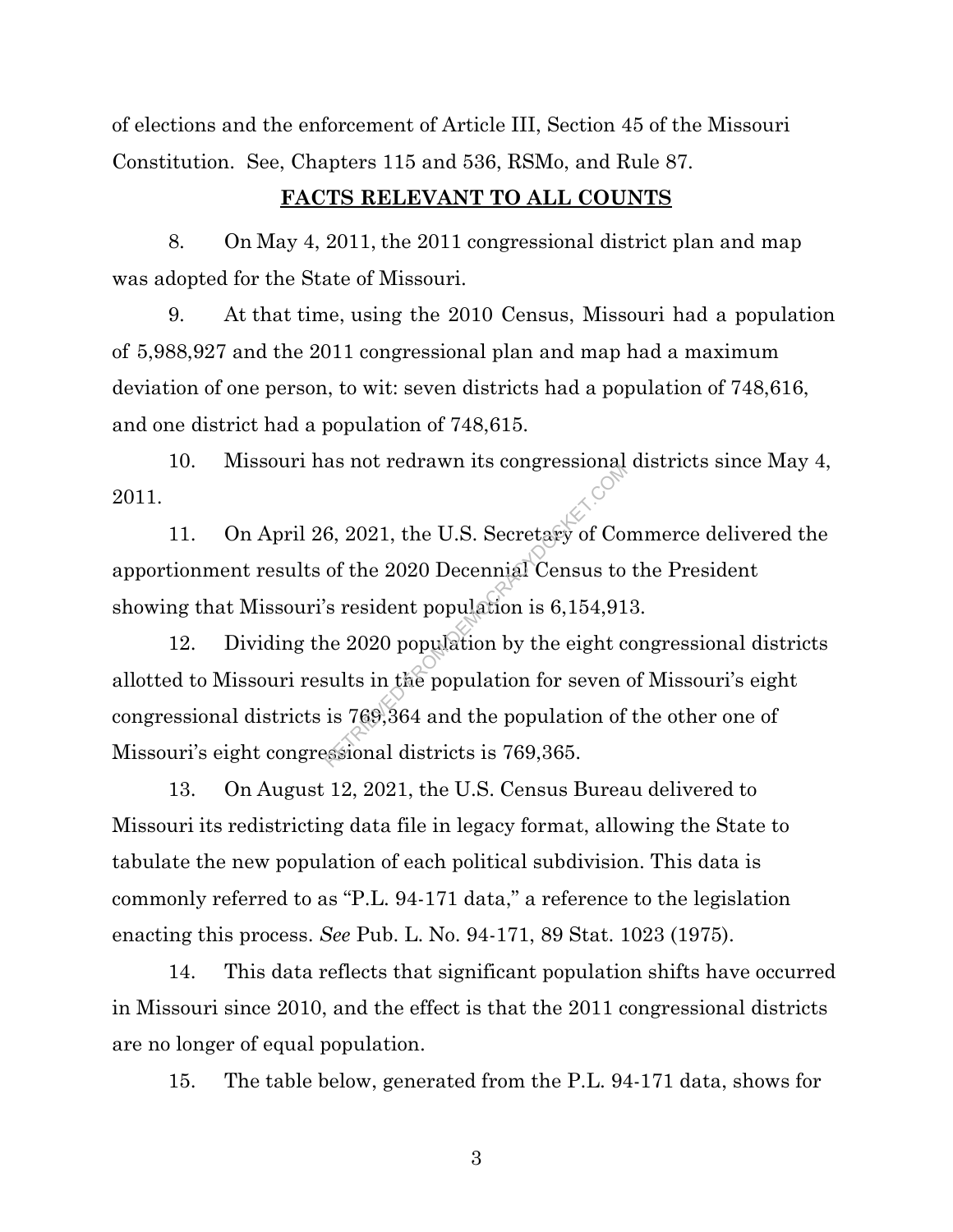of elections and the enforcement of Article III, Section 45 of the Missouri Constitution. See, Chapters 115 and 536, RSMo, and Rule 87.

## **FACTS RELEVANT TO ALL COUNTS**

8. On May 4, 2011, the 2011 congressional district plan and map was adopted for the State of Missouri.

9. At that time, using the 2010 Census, Missouri had a population of 5,988,927 and the 2011 congressional plan and map had a maximum deviation of one person, to wit: seven districts had a population of 748,616, and one district had a population of 748,615.

10. Missouri has not redrawn its congressional districts since May 4, 2011.

11. On April 26, 2021, the U.S. Secretary of Commerce delivered the apportionment results of the 2020 Decennial Census to the President showing that Missouri's resident population is 6,154,913.

12. Dividing the 2020 population by the eight congressional districts allotted to Missouri results in the population for seven of Missouri's eight congressional districts is 769,364 and the population of the other one of Missouri's eight congressional districts is 769,365. as not retriawn its congressional<br>6, 2021, the U.S. Secretary of Co.<br>of the 2020 Decennial Census to<br>'s resident population is 6,154,91<br>ne 2020 population by the eight c<br>sults in the population for seven<br>is 769,364 and the

13. On August 12, 2021, the U.S. Census Bureau delivered to Missouri its redistricting data file in legacy format, allowing the State to tabulate the new population of each political subdivision. This data is commonly referred to as "P.L. 94-171 data," a reference to the legislation enacting this process. *See* Pub. L. No. 94-171, 89 Stat. 1023 (1975).

14. This data reflects that significant population shifts have occurred in Missouri since 2010, and the effect is that the 2011 congressional districts are no longer of equal population.

15. The table below, generated from the P.L. 94-171 data, shows for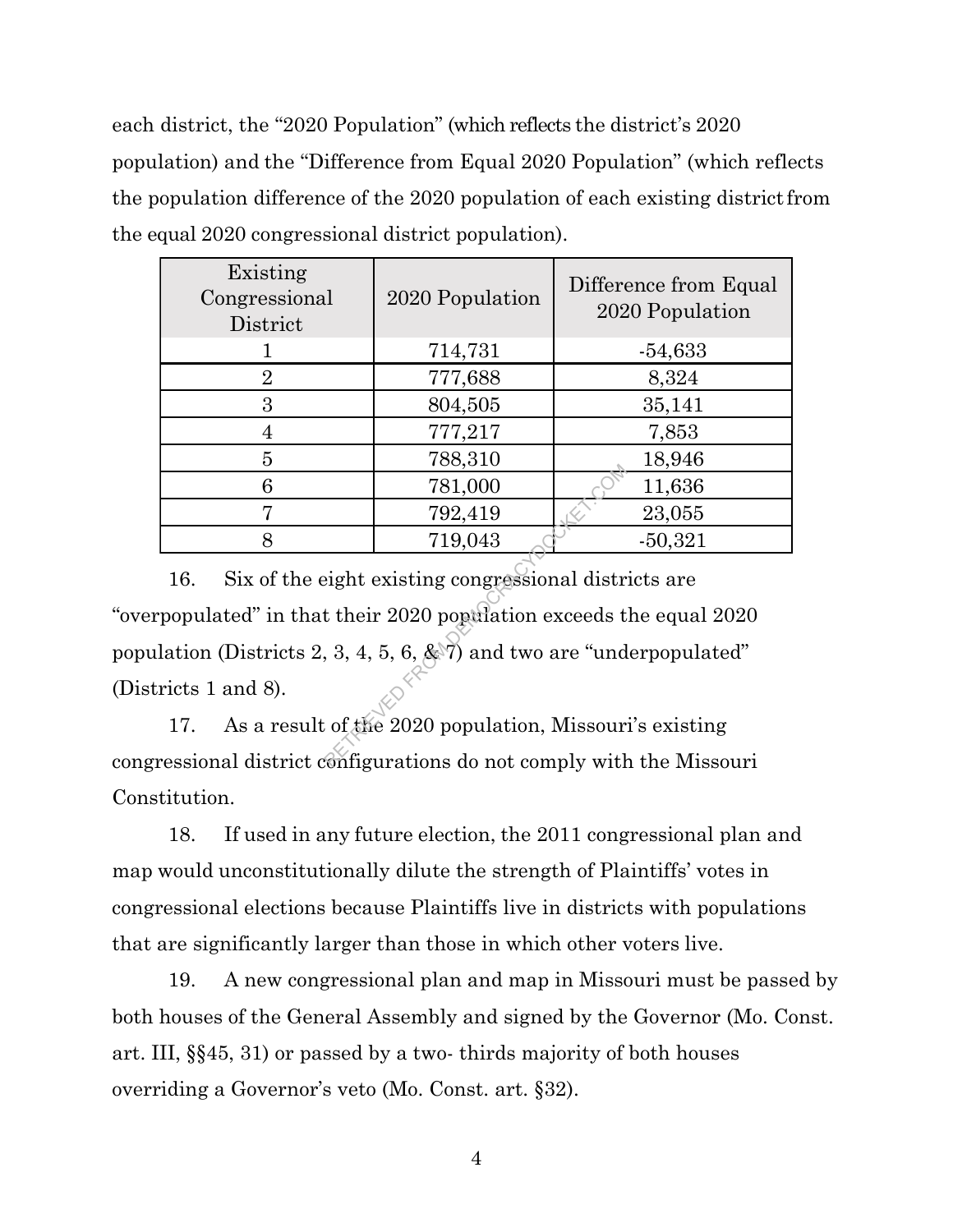each district, the "2020 Population" (which reflects the district's 2020 population) and the "Difference from Equal 2020 Population" (which reflects the population difference of the 2020 population of each existing districtfrom the equal 2020 congressional district population).

| Existing<br>Congressional<br>District | 2020 Population | Difference from Equal<br>2020 Population |
|---------------------------------------|-----------------|------------------------------------------|
|                                       | 714,731         | $-54,633$                                |
| $\overline{2}$                        | 777,688         | 8,324                                    |
| 3                                     | 804,505         | 35,141                                   |
|                                       | 777,217         | 7,853                                    |
| 5                                     | 788,310         | 18,946                                   |
| 6                                     | 781,000         | 11,636                                   |
| 7                                     | 792,419         | 23,055                                   |
| 8                                     | 719,043         | $-50,321$                                |

16. Six of the eight existing congressional districts are "overpopulated" in that their 2020 population exceeds the equal 2020 population (Districts 2, 3, 4, 5, 6, & 7) and two are "underpopulated" (Districts 1 and 8).  $\begin{array}{r} \hline 781,000 \\ 792,419 \\ 719,043 \end{array}$ <br>eight existing congressional distribution exceeds to a 3, 4, 5, 6, & 7) and two are "und to a fitte 2020 population, Missourian figurations do not comply with

17. As a result of the 2020 population, Missouri's existing congressional district configurations do not comply with the Missouri Constitution.

18. If used in any future election, the 2011 congressional plan and map would unconstitutionally dilute the strength of Plaintiffs' votes in congressional elections because Plaintiffs live in districts with populations that are significantly larger than those in which other voters live.

19. A new congressional plan and map in Missouri must be passed by both houses of the General Assembly and signed by the Governor (Mo. Const. art. III, §§45, 31) or passed by a two- thirds majority of both houses overriding a Governor's veto (Mo. Const. art. §32).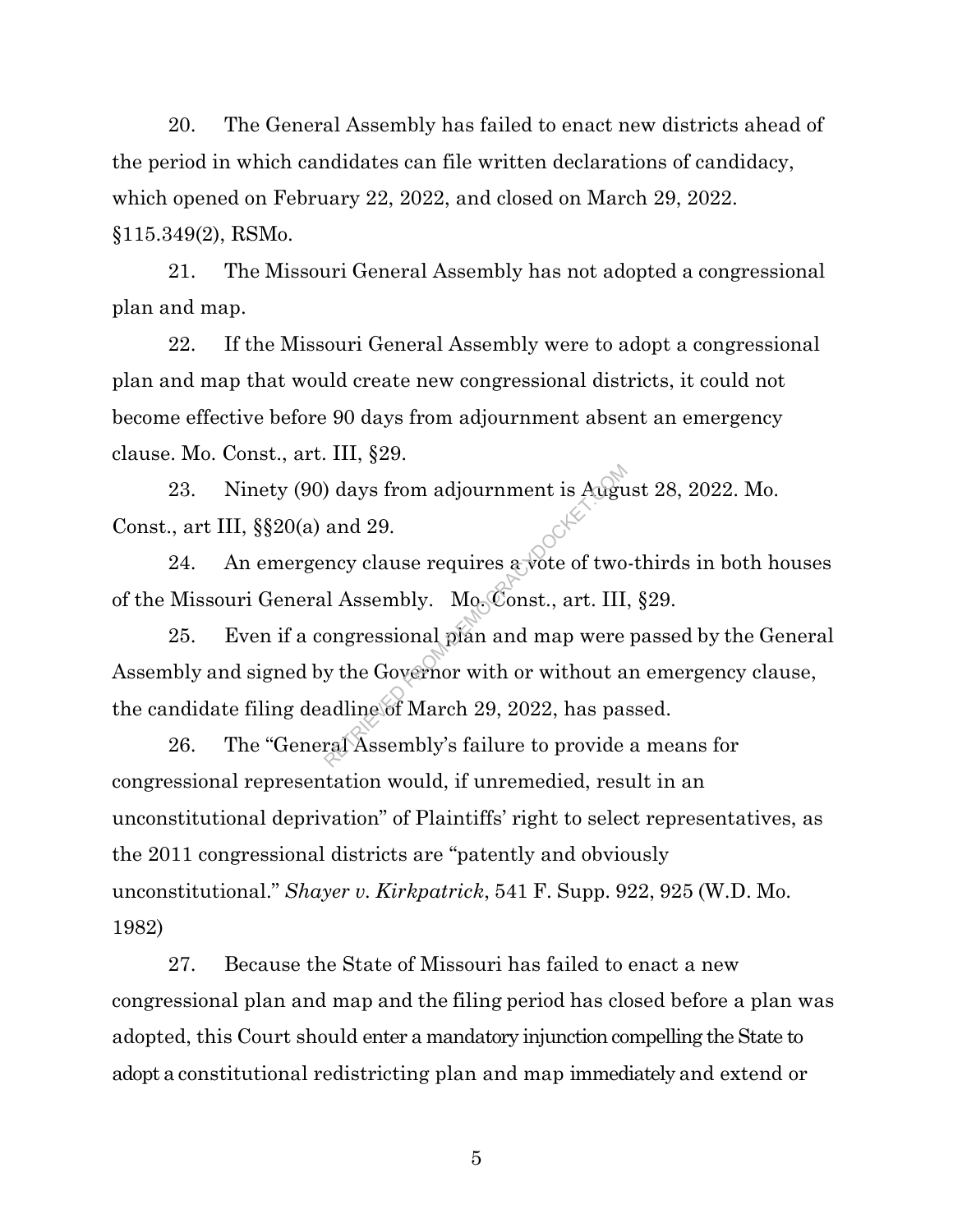20. The General Assembly has failed to enact new districts ahead of the period in which candidates can file written declarations of candidacy, which opened on February 22, 2022, and closed on March 29, 2022. §115.349(2), RSMo.

21. The Missouri General Assembly has not adopted a congressional plan and map.

22. If the Missouri General Assembly were to adopt a congressional plan and map that would create new congressional districts, it could not become effective before 90 days from adjournment absent an emergency clause. Mo. Const., art. III, §29.

23. Ninety (90) days from adjournment is August 28, 2022. Mo. Const., art III, §§20(a) and 29.

24. An emergency clause requires  $\frac{1}{6}$  vote of two-thirds in both houses of the Missouri General Assembly. Mo. Const., art. III, §29.

25. Even if a congressional plan and map were passed by the General Assembly and signed by the Governor with or without an emergency clause, the candidate filing deadline of March 29, 2022, has passed. Augure 1 and 29.<br>
Representing and 29.<br>
Representing a very clause requires a vote of two<br>
I Assembly. MogConst., art. III<br>
Dongressional plan and map were<br>
y the Governor with or without a<br>
adline of March 29, 2022, has

26. The "General Assembly's failure to provide a means for congressional representation would, if unremedied, result in an unconstitutional deprivation" of Plaintiffs' right to select representatives, as the 2011 congressional districts are "patently and obviously unconstitutional." *Shayer v. Kirkpatrick*, 541 F. Supp. 922, 925 (W.D. Mo. 1982)

27. Because the State of Missouri has failed to enact a new congressional plan and map and the filing period has closed before a plan was adopted, this Court should enter a mandatory injunction compelling the State to adopt a constitutional redistricting plan and map immediately and extend or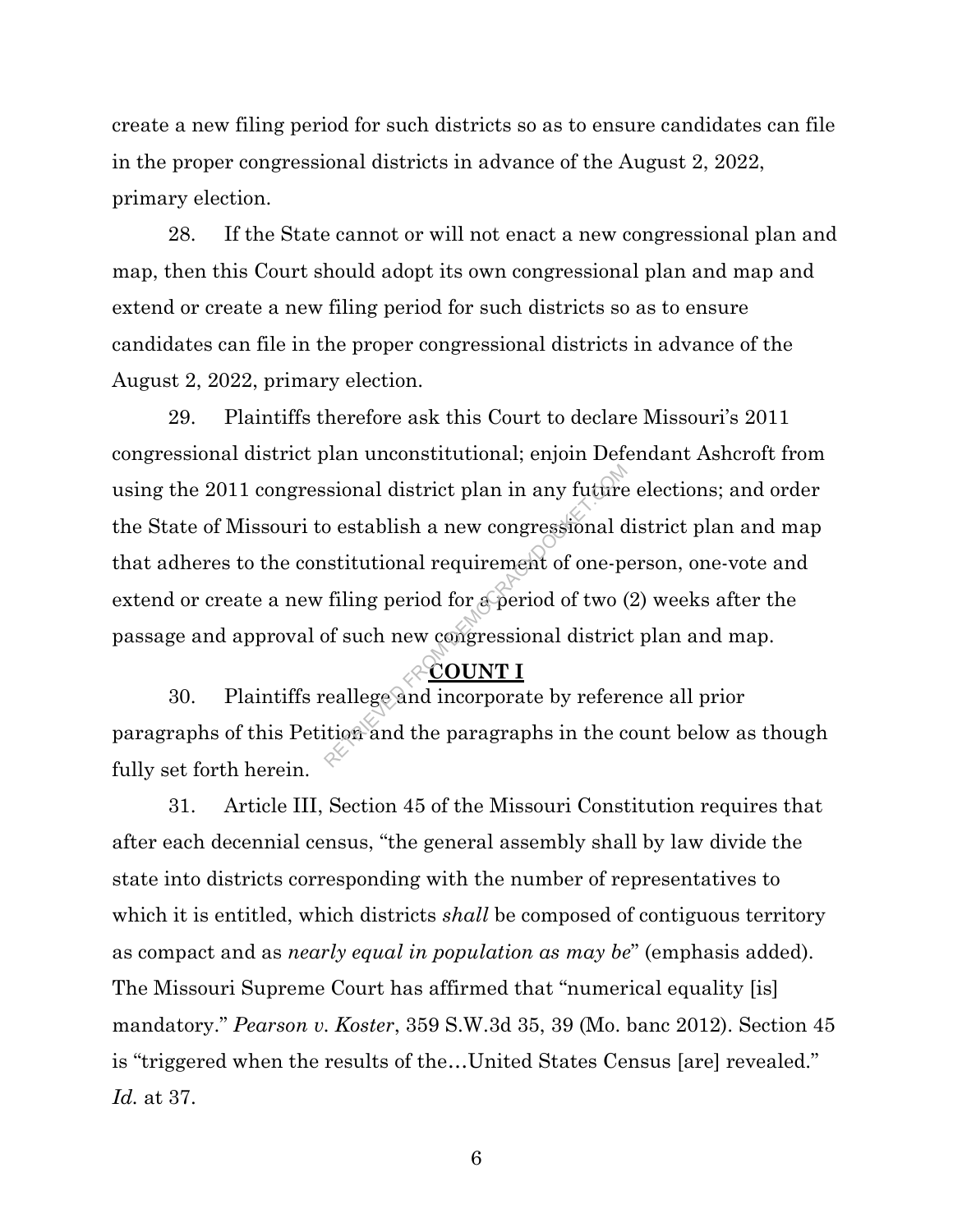create a new filing period for such districts so as to ensure candidates can file in the proper congressional districts in advance of the August 2, 2022, primary election.

28. If the State cannot or will not enact a new congressional plan and map, then this Court should adopt its own congressional plan and map and extend or create a new filing period for such districts so as to ensure candidates can file in the proper congressional districts in advance of the August 2, 2022, primary election.

29. Plaintiffs therefore ask this Court to declare Missouri's 2011 congressional district plan unconstitutional; enjoin Defendant Ashcroft from using the 2011 congressional district plan in any future elections; and order the State of Missouri to establish a new congressional district plan and map that adheres to the constitutional requirement of one-person, one-vote and extend or create a new filing period for a period of two (2) weeks after the passage and approval of such new congressional district plan and map. Sional district plan in any future<br>o establish a new congressional d<br>istitutional requirement of one-p<br>filing period for a period of two (<br>of such new congressional distric<br> $\begin{array}{r}\n\text{COUNT I}\n\text{reallege and incorporate by refer} \n\end{array}$ 

## **COUNT I**

30. Plaintiffs reallege and incorporate by reference all prior paragraphs of this Petition and the paragraphs in the count below as though fully set forth herein.

31. Article III, Section 45 of the Missouri Constitution requires that after each decennial census, "the general assembly shall by law divide the state into districts corresponding with the number of representatives to which it is entitled, which districts *shall* be composed of contiguous territory as compact and as *nearly equal in population as may be*" (emphasis added). The Missouri Supreme Court has affirmed that "numerical equality [is] mandatory." *Pearson v. Koster*, 359 S.W.3d 35, 39 (Mo. banc 2012). Section 45 is "triggered when the results of the…United States Census [are] revealed." *Id.* at 37.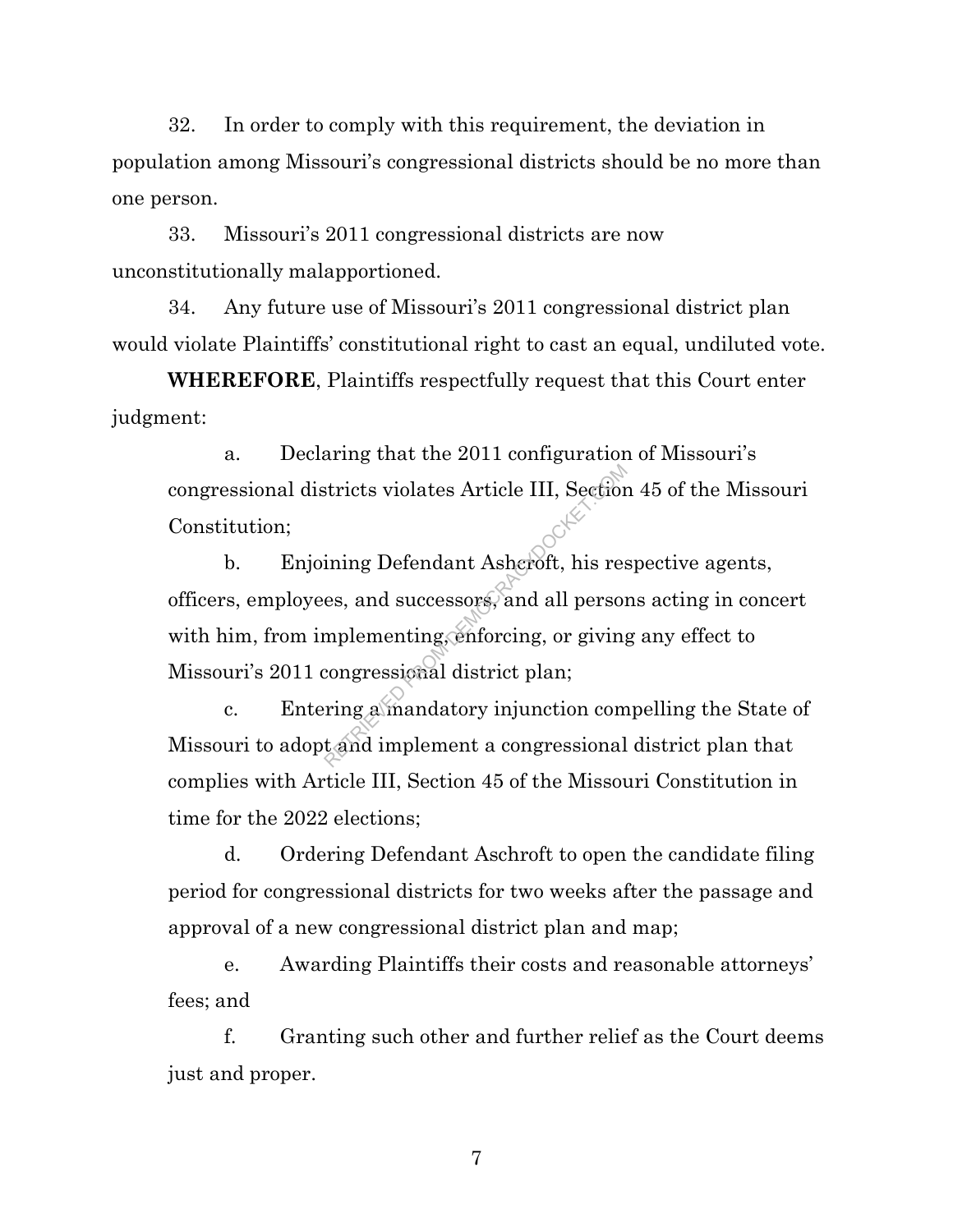32. In order to comply with this requirement, the deviation in population among Missouri's congressional districts should be no more than one person.

33. Missouri's 2011 congressional districts are now unconstitutionally malapportioned.

34. Any future use of Missouri's 2011 congressional district plan would violate Plaintiffs' constitutional right to cast an equal, undiluted vote.

**WHEREFORE**, Plaintiffs respectfully request that this Court enter judgment:

a. Declaring that the 2011 configuration of Missouri's congressional districts violates Article III, Section 45 of the Missouri Constitution;

b. Enjoining Defendant Ashcroft, his respective agents, officers, employees, and successors, and all persons acting in concert with him, from implementing, enforcing, or giving any effect to Missouri's 2011 congressional district plan; stricts violates Article III, Section<br>ining Defendant Asheroft, his res<br>es, and successors, and all person<br>mplementing, enforcing, or giving<br>congressional district plan;<br>ring a mandatory injunction com<br>t and implement a co

c. Entering a mandatory injunction compelling the State of Missouri to adopt and implement a congressional district plan that complies with Article III, Section 45 of the Missouri Constitution in time for the 2022 elections;

d. Ordering Defendant Aschroft to open the candidate filing period for congressional districts for two weeks after the passage and approval of a new congressional district plan and map;

e. Awarding Plaintiffs their costs and reasonable attorneys' fees; and

f. Granting such other and further relief as the Court deems just and proper.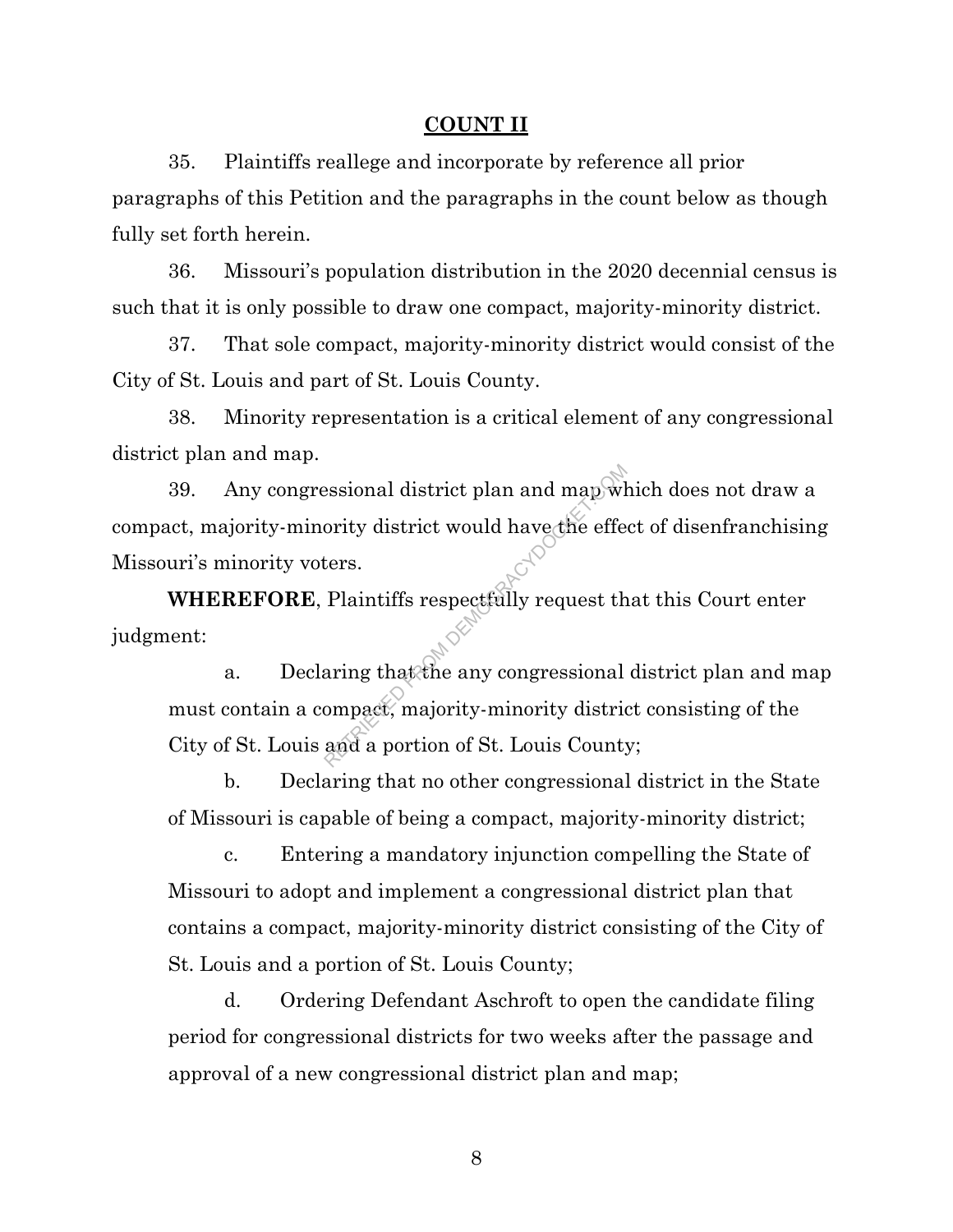#### **COUNT II**

35. Plaintiffs reallege and incorporate by reference all prior paragraphs of this Petition and the paragraphs in the count below as though fully set forth herein.

36. Missouri's population distribution in the 2020 decennial census is such that it is only possible to draw one compact, majority-minority district.

37. That sole compact, majority-minority district would consist of the City of St. Louis and part of St. Louis County.

38. Minority representation is a critical element of any congressional district plan and map.

39. Any congressional district plan and map which does not draw a compact, majority-minority district would have the effect of disenfranchising Missouri's minority voters. Explority district would have the effectors.<br>Plaintiffs respectfully request the effectors.<br>Plaintiffs respectfully request the<br>aring that the any congressional ompact, majority-minority district<br>and a portion of St. Louis

**WHEREFORE**, Plaintiffs respectfully request that this Court enter judgment:

a. Declaring that the any congressional district plan and map must contain a compact, majority-minority district consisting of the City of St. Louis and a portion of St. Louis County;

b. Declaring that no other congressional district in the State of Missouri is capable of being a compact, majority-minority district;

c. Entering a mandatory injunction compelling the State of Missouri to adopt and implement a congressional district plan that contains a compact, majority-minority district consisting of the City of St. Louis and a portion of St. Louis County;

d. Ordering Defendant Aschroft to open the candidate filing period for congressional districts for two weeks after the passage and approval of a new congressional district plan and map;